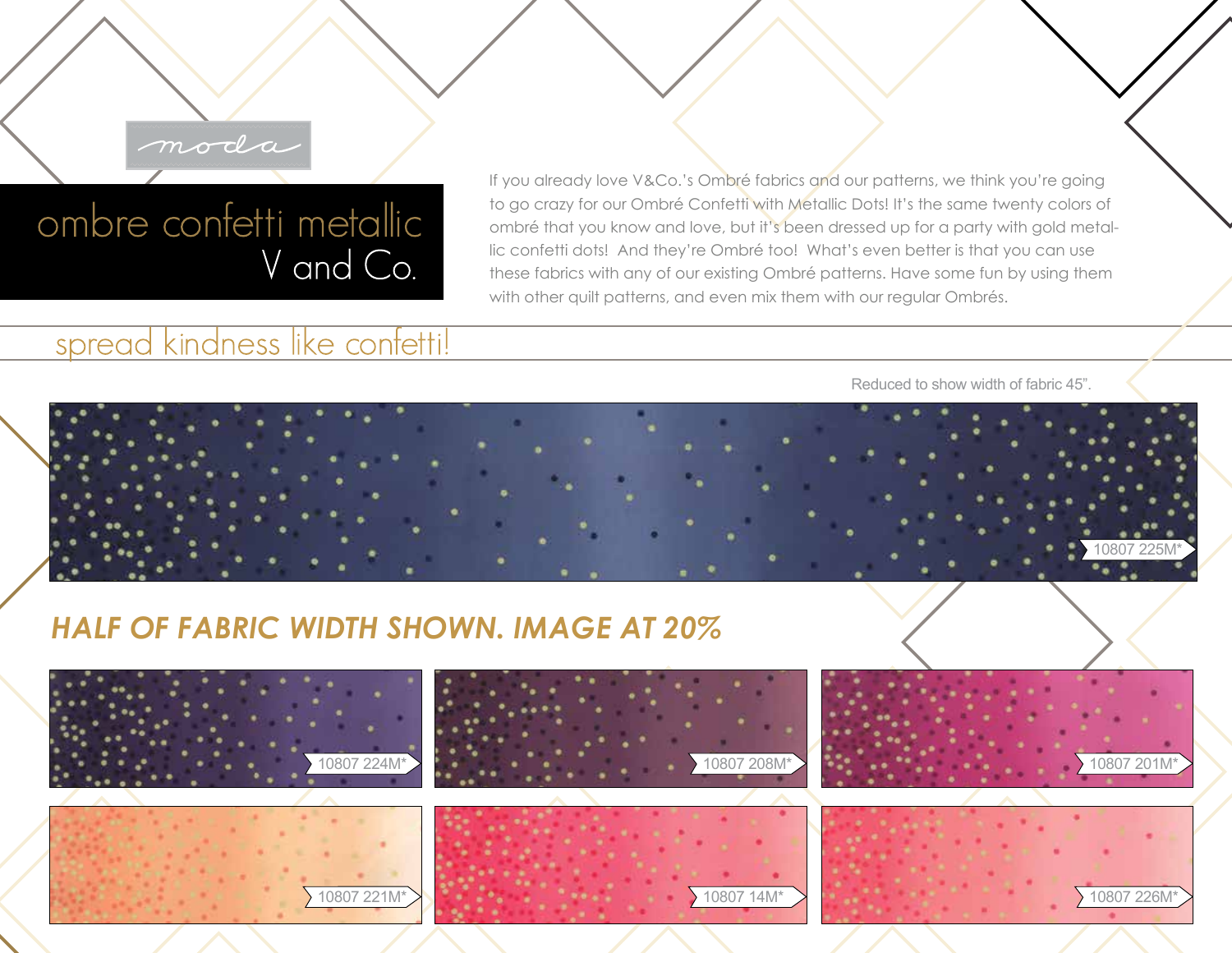## moda

## ombre confetti metallic V and Co.

## spread kindness like confetti!

If you already love V&Co.'s Ombré fabrics and our patterns, we think you're going to go crazy for our Ombré Confetti with Metallic Dots! It's the same twenty colors of ombré that you know and love, but it's been dressed up for a party with gold metallic confetti dots! And they're Ombré too! What's even better is that you can use these fabrics with any of our existing Ombré patterns. Have some fun by using them with other quilt patterns, and even mix them with our regular Ombrés.

Reduced to show width of fabric 45".



## *HALF OF FABRIC WIDTH SHOWN. IMAGE AT 20%*